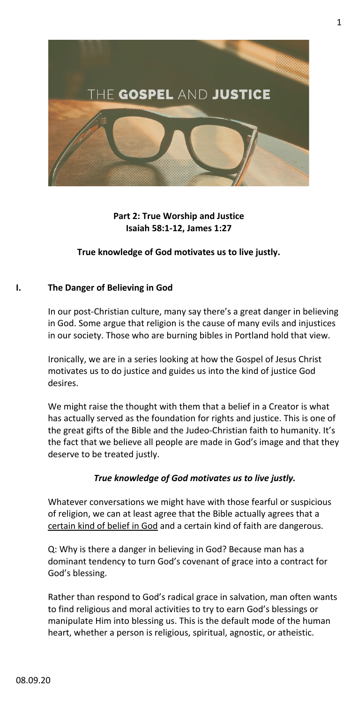

## **Part 2: True Worship and Justice Isaiah 58:1-12, James 1:27**

## **True knowledge of God motivates us to live justly.**

## **I. The Danger of Believing in God**

In our post-Christian culture, many say there's a great danger in believing in God. Some argue that religion is the cause of many evils and injustices in our society. Those who are burning bibles in Portland hold that view.

Ironically, we are in a series looking at how the Gospel of Jesus Christ motivates us to do justice and guides us into the kind of justice God desires.

We might raise the thought with them that a belief in a Creator is what has actually served as the foundation for rights and justice. This is one of the great gifts of the Bible and the Judeo-Christian faith to humanity. It's the fact that we believe all people are made in God's image and that they deserve to be treated justly.

### *True knowledge of God motivates us to live justly.*

Whatever conversations we might have with those fearful or suspicious of religion, we can at least agree that the Bible actually agrees that a certain kind of belief in God and a certain kind of faith are dangerous.

Q: Why is there a danger in believing in God? Because man has a dominant tendency to turn God's covenant of grace into a contract for God's blessing.

Rather than respond to God's radical grace in salvation, man often wants to find religious and moral activities to try to earn God's blessings or manipulate Him into blessing us. This is the default mode of the human heart, whether a person is religious, spiritual, agnostic, or atheistic.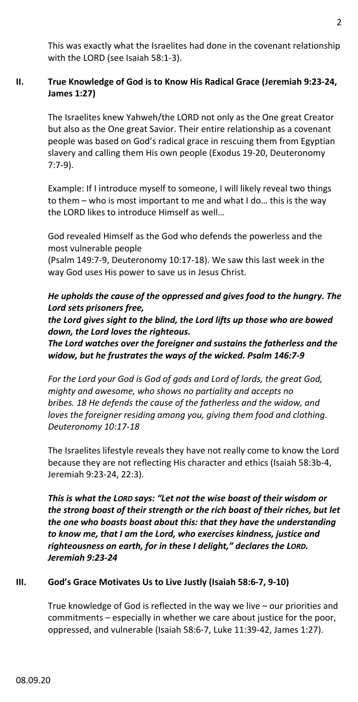This was exactly what the Israelites had done in the covenant relationship with the LORD (see Isaiah 58:1-3).

# **II. True Knowledge of God is to Know His Radical Grace (Jeremiah 9:23-24, James 1:27)**

The Israelites knew Yahweh/the LORD not only as the One great Creator but also as the One great Savior. Their entire relationship as a covenant people was based on God's radical grace in rescuing them from Egyptian slavery and calling them His own people (Exodus 19-20, Deuteronomy 7:7-9).

Example: If I introduce myself to someone, I will likely reveal two things to them – who is most important to me and what I do… this is the way the LORD likes to introduce Himself as well…

God revealed Himself as the God who defends the powerless and the most vulnerable people

(Psalm 149:7-9, Deuteronomy 10:17-18). We saw this last week in the way God uses His power to save us in Jesus Christ.

*He upholds the cause of the oppressed and gives food to the hungry. The Lord sets prisoners free,*

*the Lord gives sight to the blind, the Lord lifts up those who are bowed down, the Lord loves the righteous.*

*The Lord watches over the foreigner and sustains the fatherless and the widow, but he frustrates the ways of the wicked. Psalm 146:7-9*

*For the Lord your God is God of gods and Lord of lords, the great God, mighty and awesome, who shows no partiality and accepts no bribes. 18 He defends the cause of the fatherless and the widow, and loves the foreigner residing among you, giving them food and clothing. Deuteronomy 10:17-18*

The Israelites lifestyle reveals they have not really come to know the Lord because they are not reflecting His character and ethics (Isaiah 58:3b-4, Jeremiah 9:23-24, 22:3).

*This is what the LORD says: "Let not the wise boast of their wisdom or the strong boast of their strength or the rich boast of their riches, but let the one who boasts boast about this: that they have the understanding to know me, that I am the Lord, who exercises kindness, justice and righteousness on earth, for in these I delight," declares the LORD. Jeremiah 9:23-24*

# **III. God's Grace Motivates Us to Live Justly (Isaiah 58:6-7, 9-10)**

True knowledge of God is reflected in the way we live – our priorities and commitments – especially in whether we care about justice for the poor, oppressed, and vulnerable (Isaiah 58:6-7, Luke 11:39-42, James 1:27).